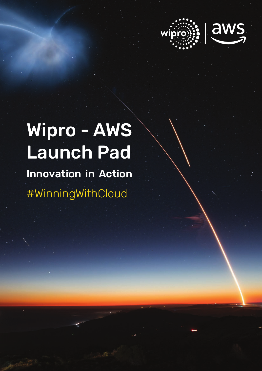

# Wipro - AWS Launch Pad Innovation in Action #WinningWithCloud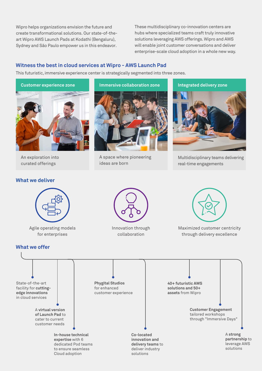Wipro helps organizations envision the future and create transformational solutions. Our state-of-theart Wipro AWS Launch Pads at Kodathi (Bengaluru), Sydney and São Paulo empower us in this endeavor.

These multidisciplinary co-innovation centers are hubs where specialized teams craft truly innovative solutions leveraging AWS offerings.Wipro and AWS will enable joint customer conversations and deliver enterprise-scale cloud adoption in a whole new way.

# **Witness the best in cloud services at Wipro - AWS Launch Pad**

This futuristic, immersive experience center is strategically segmented into three zones.



An exploration into curated offerings

#### **What we deliver**

**Immersive collaboration zone**

A space where pioneering ideas are born

# **Integrated delivery zone**



Multidisciplinary teams delivering real-time engagements



Agile operating models for enterprises

# **What we offer**



Innovation through collaboration



Maximized customer centricity through delivery excellence

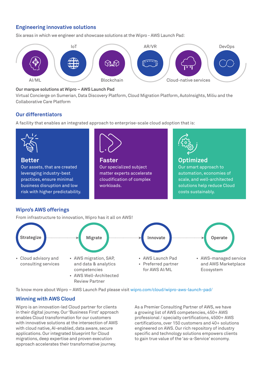# **Engineering innovative solutions**

Six areas in which we engineer and showcase solutions at the Wipro - AWS Launch Pad:



#### **Our marque solutions at Wipro – AWS Launch Pad**

Virtual Concierge on Sumerian, Data Discovery Platform, Cloud Migration Platform, AutoInsights, Miliu and the Collaborative Care Platform

## **Our differentiators**

A facility that enables an integrated approach to enterprise-scale cloud adoption that is:



### **Wipro's AWS offerings**

From infrastructure to innovation, Wipro has it all on AWS!



To know more about Wipro – AWS Launch Pad please visit wipro.com/cloud/wipro-aws-launch-pad/

### **Winning with AWS Cloud**

Wipro is an innovation-led Cloud partner for clients in their digital journey. Our 'Business First' approach enables Cloud transformation for our customers with innovative solutions at the intersection of AWS with cloud native, AI-enabled, data aware, secure applications. Our integrated blueprint for Cloud migrations, deep expertise and proven execution approach accelerates their transformative journey.

As a Premier Consulting Partner of AWS, we have a growing list of AWS competencies, 450+ AWS professional / specialty certifications, 4500+ AWS certifications, over 150 customers and 40+ solutions engineered on AWS.Our rich repository of industry specific and technology solutions empowers clients to gain true value of the 'as-a-Service' economy.